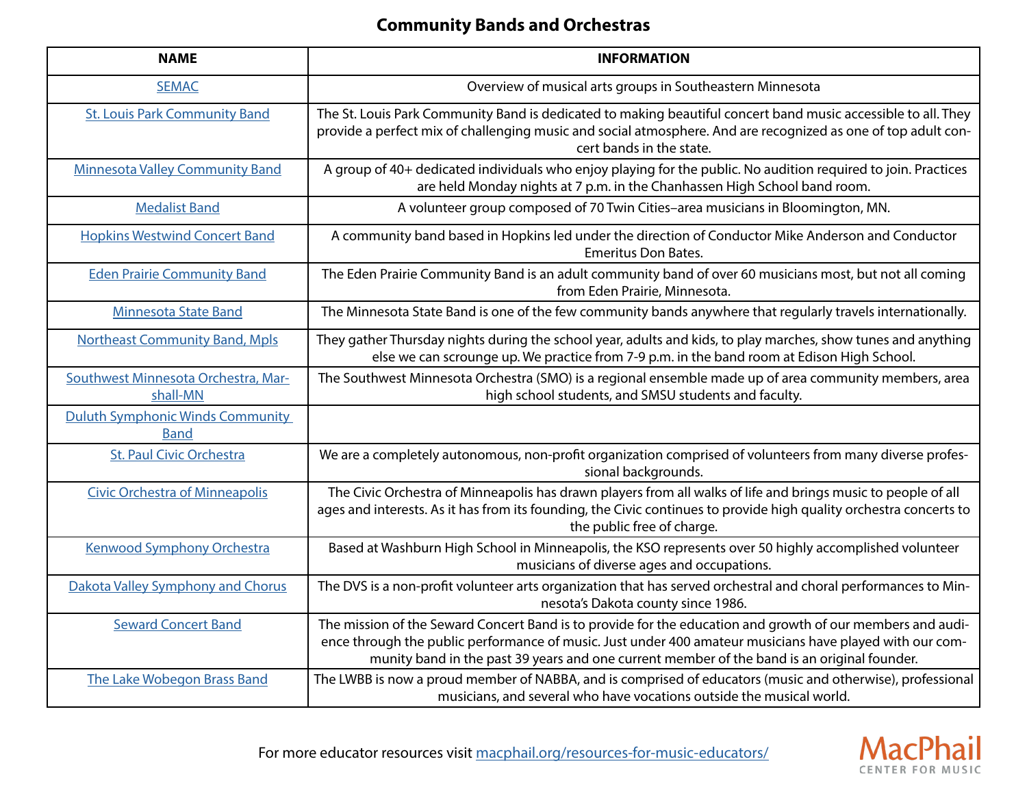## **Community Bands and Orchestras**

| <b>NAME</b>                                            | <b>INFORMATION</b>                                                                                                                                                                                                                                                                                                    |
|--------------------------------------------------------|-----------------------------------------------------------------------------------------------------------------------------------------------------------------------------------------------------------------------------------------------------------------------------------------------------------------------|
| <b>SEMAC</b>                                           | Overview of musical arts groups in Southeastern Minnesota                                                                                                                                                                                                                                                             |
| <b>St. Louis Park Community Band</b>                   | The St. Louis Park Community Band is dedicated to making beautiful concert band music accessible to all. They<br>provide a perfect mix of challenging music and social atmosphere. And are recognized as one of top adult con-<br>cert bands in the state.                                                            |
| <b>Minnesota Valley Community Band</b>                 | A group of 40+ dedicated individuals who enjoy playing for the public. No audition required to join. Practices<br>are held Monday nights at 7 p.m. in the Chanhassen High School band room.                                                                                                                           |
| <b>Medalist Band</b>                                   | A volunteer group composed of 70 Twin Cities-area musicians in Bloomington, MN.                                                                                                                                                                                                                                       |
| <b>Hopkins Westwind Concert Band</b>                   | A community band based in Hopkins led under the direction of Conductor Mike Anderson and Conductor<br><b>Emeritus Don Bates.</b>                                                                                                                                                                                      |
| <b>Eden Prairie Community Band</b>                     | The Eden Prairie Community Band is an adult community band of over 60 musicians most, but not all coming<br>from Eden Prairie, Minnesota.                                                                                                                                                                             |
| <b>Minnesota State Band</b>                            | The Minnesota State Band is one of the few community bands anywhere that regularly travels internationally.                                                                                                                                                                                                           |
| <b>Northeast Community Band, Mpls</b>                  | They gather Thursday nights during the school year, adults and kids, to play marches, show tunes and anything<br>else we can scrounge up. We practice from 7-9 p.m. in the band room at Edison High School.                                                                                                           |
| Southwest Minnesota Orchestra, Mar-<br>shall-MN        | The Southwest Minnesota Orchestra (SMO) is a regional ensemble made up of area community members, area<br>high school students, and SMSU students and faculty.                                                                                                                                                        |
| <b>Duluth Symphonic Winds Community</b><br><b>Band</b> |                                                                                                                                                                                                                                                                                                                       |
| <b>St. Paul Civic Orchestra</b>                        | We are a completely autonomous, non-profit organization comprised of volunteers from many diverse profes-<br>sional backgrounds.                                                                                                                                                                                      |
| <b>Civic Orchestra of Minneapolis</b>                  | The Civic Orchestra of Minneapolis has drawn players from all walks of life and brings music to people of all<br>ages and interests. As it has from its founding, the Civic continues to provide high quality orchestra concerts to<br>the public free of charge.                                                     |
| <b>Kenwood Symphony Orchestra</b>                      | Based at Washburn High School in Minneapolis, the KSO represents over 50 highly accomplished volunteer<br>musicians of diverse ages and occupations.                                                                                                                                                                  |
| Dakota Valley Symphony and Chorus                      | The DVS is a non-profit volunteer arts organization that has served orchestral and choral performances to Min-<br>nesota's Dakota county since 1986.                                                                                                                                                                  |
| <b>Seward Concert Band</b>                             | The mission of the Seward Concert Band is to provide for the education and growth of our members and audi-<br>ence through the public performance of music. Just under 400 amateur musicians have played with our com-<br>munity band in the past 39 years and one current member of the band is an original founder. |
| The Lake Wobegon Brass Band                            | The LWBB is now a proud member of NABBA, and is comprised of educators (music and otherwise), professional<br>musicians, and several who have vocations outside the musical world.                                                                                                                                    |